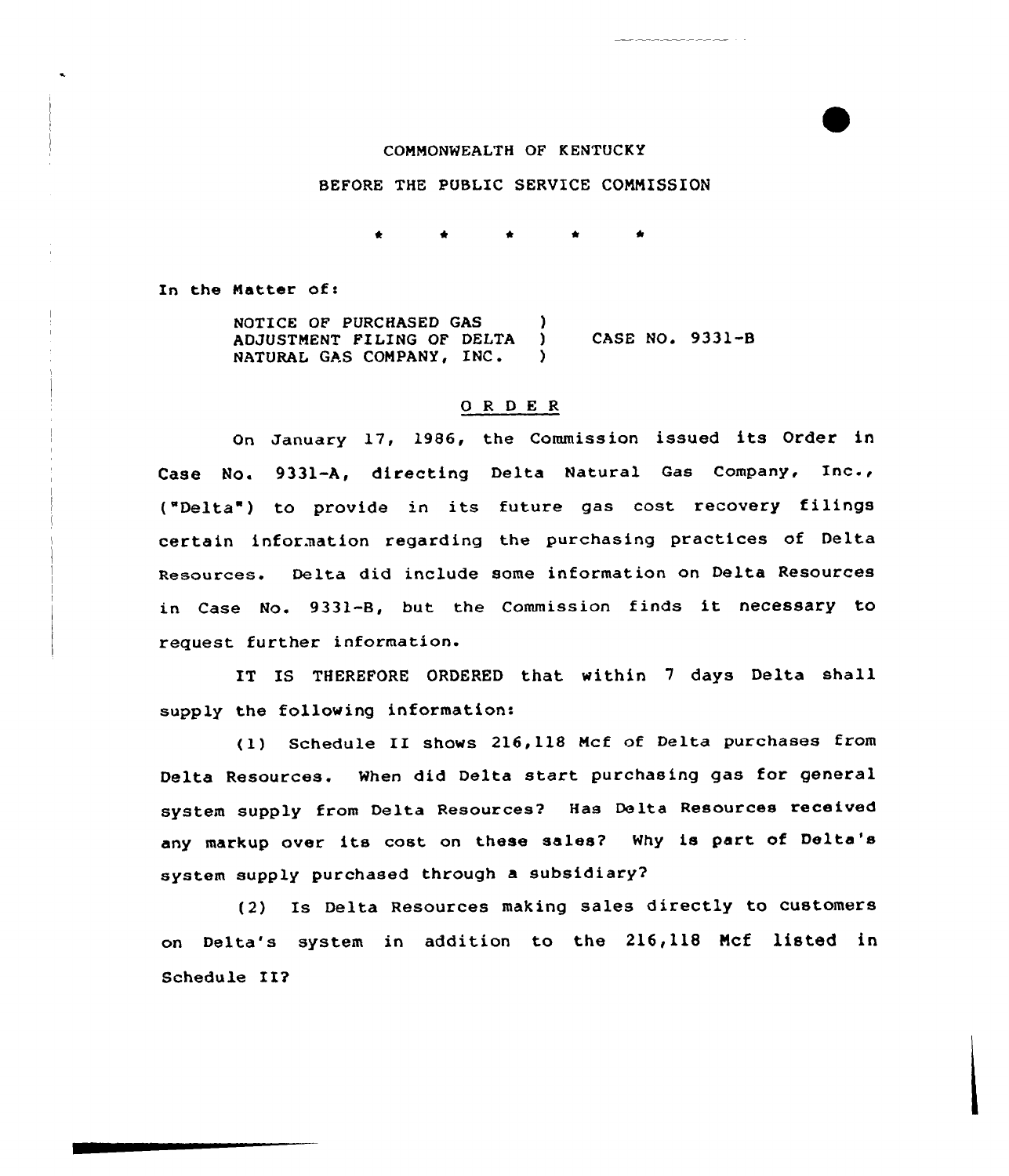## CONMONHEALTH OF KENTUCKY

## BEFORE THE PUBLIC SERVICE COMMISSION

In the Natter of!

NOTICE OF PURCHASED GAS ) ADJUSTMENT FILING OF DELTA ) NATURAL GAS COMPANY, INC. ) CASE NO. 9331-8

## 0 R <sup>D</sup> E <sup>R</sup>

On January 17, 1986, the Commission issued its Order in Case No. 9331-A, directing Delta Natural Gas Company, Inc., ("Delta ) to provide in its future gas cost recovery filings certain information regarding the purchasing practices of Delta Resources. Delta did include some information on Delta Resources in Case No. 9331-B, but the Commission finds it necessary to request further information.

IT IS THEREFORE ORDERED that within <sup>7</sup> days Delta shall supply the following information:

(1) Schedule II shows 216,118 Ncf of Delta purchases from Delta Resources. When did Delta start purchasing gas for general system supply from Delta Resources? Has Delta Resources received any markup over its cost on these sales? Why is part of Delta's system supply purchased through a subsidiary?

(2) Is Delta Resources making sales directly to customers on Delta's system in addition to the 216,118 Ncf listed in Schedule II?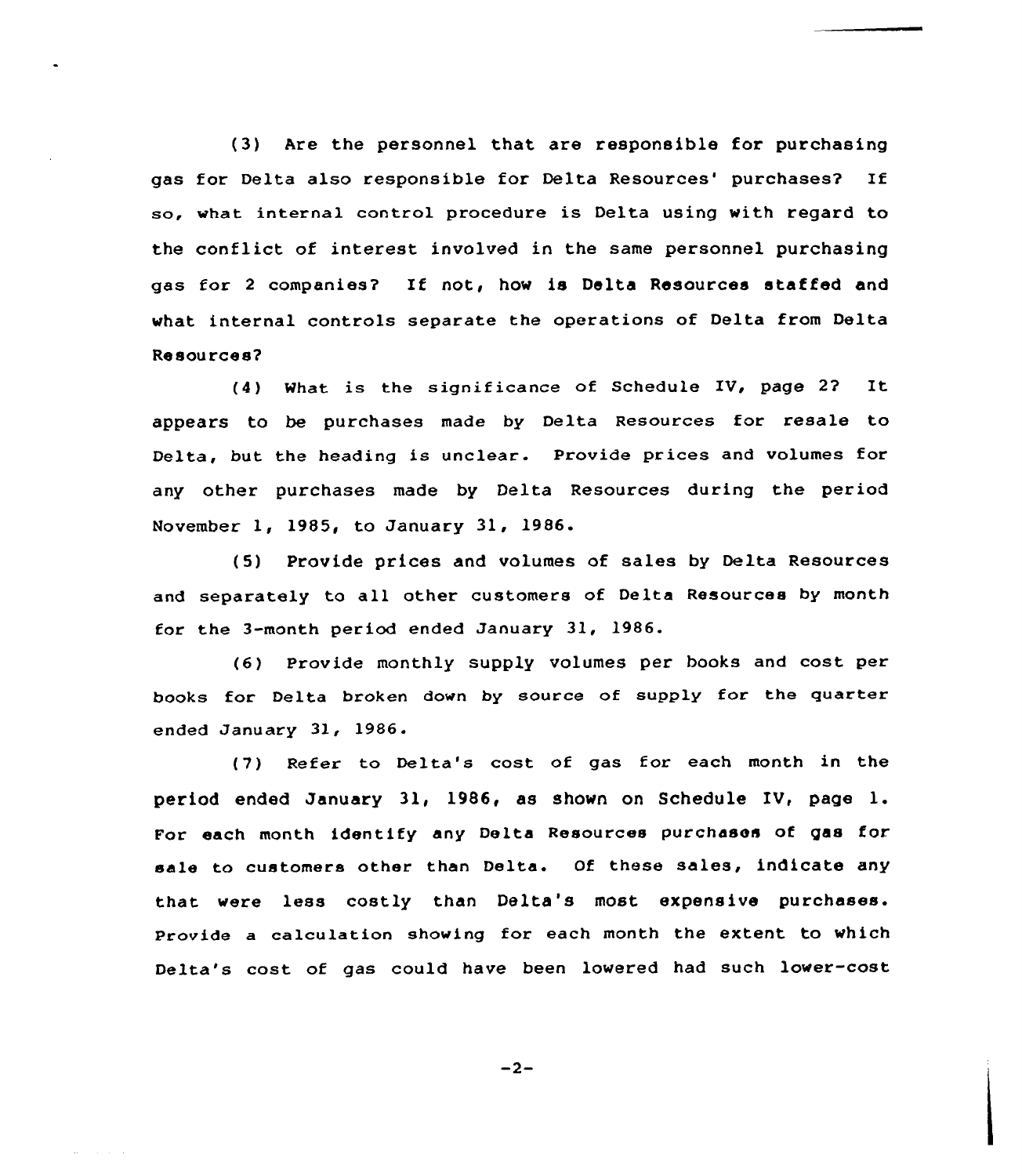(3) Are the personnel that are responsible for purchasing gas for Delta also responsible for Delta Resources' purchases? If so, what internal control procedure is Delta using with regard to the conflict of interest involved in the same personnel purchasing gas for <sup>2</sup> companies? If not, how is Delta Resources staffed and what internal controls separate the operations of Delta from Delta Re sou rces?

(4) What is the significance of Schedule IV, page 2? It appears to be purchases made by Delta Resources for resale to Delta, but the heading is unclear. Provide prices and volumes for any other purchases made by Delta Resources during the period November 1, 1985, to January 31, 1986.

(5) Provide prices and volumes of sales by Delta Resources and separately to all other customers of Delta Resources by month for the 3-month period ended January 31, 1986.

(6) Provide monthly supply volumes per books and cost per books for Delta broken down by source of supply for the quarter ended January 31, 1986.

(7) Refer to Delta's cost of gas for each month in the period ended January 31, 1986, as shown on Schedule IV, page l. For each month identify any Delta Resources purchases of gas for. sale to customers other than Delta. Of these sales, indicate any that were less costly than Delta's most expensive purchases. Provide a calculation showing for each month the extent to which Delta's cost of gas could have been lowered had such lover-cost

 $-2-$